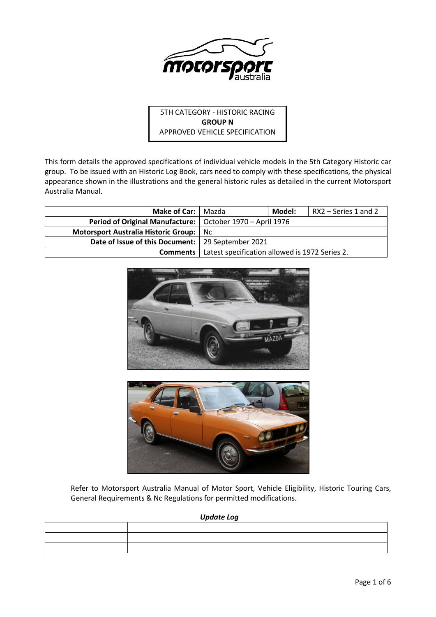

5TH CATEGORY - HISTORIC RACING **GROUP N** APPROVED VEHICLE SPECIFICATION

This form details the approved specifications of individual vehicle models in the 5th Category Historic car group. To be issued with an Historic Log Book, cars need to comply with these specifications, the physical appearance shown in the illustrations and the general historic rules as detailed in the current Motorsport Australia Manual.

| <b>Make of Car:   Mazda</b>                                        |                                                | Model: | RX2 – Series 1 and 2 |
|--------------------------------------------------------------------|------------------------------------------------|--------|----------------------|
| <b>Period of Original Manufacture:</b>   October 1970 – April 1976 |                                                |        |                      |
| Motorsport Australia Historic Group:                               | Nc.                                            |        |                      |
| Date of Issue of this Document:   29 September 2021                |                                                |        |                      |
| Comments                                                           | Latest specification allowed is 1972 Series 2. |        |                      |





Refer to Motorsport Australia Manual of Motor Sport, Vehicle Eligibility, Historic Touring Cars, General Requirements & Nc Regulations for permitted modifications.

*Update Log*

| <u> 1989 - John Stone, Amerikaansk politiker (* 1908)</u> |  |
|-----------------------------------------------------------|--|
|                                                           |  |
|                                                           |  |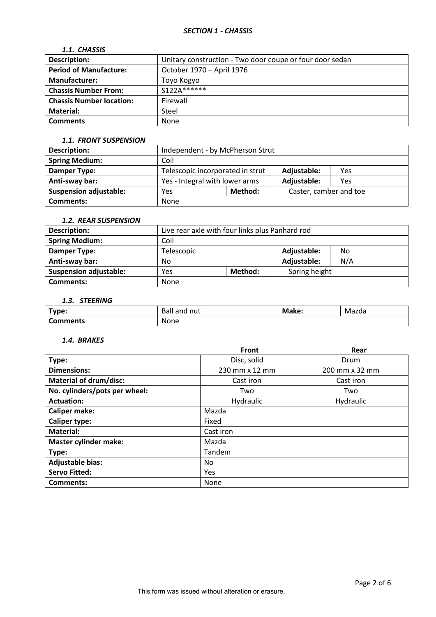# *SECTION 1 - CHASSIS*

# *1.1. CHASSIS*

| <b>Description:</b>             | Unitary construction - Two door coupe or four door sedan |
|---------------------------------|----------------------------------------------------------|
| <b>Period of Manufacture:</b>   | October 1970 - April 1976                                |
| <b>Manufacturer:</b>            | Toyo Kogyo                                               |
| <b>Chassis Number From:</b>     | $S122A*****$                                             |
| <b>Chassis Number location:</b> | Firewall                                                 |
| Material:                       | Steel                                                    |
| <b>Comments</b>                 | <b>None</b>                                              |

#### *1.1. FRONT SUSPENSION*

| Description:                  | Independent - by McPherson Strut                     |         |                        |     |
|-------------------------------|------------------------------------------------------|---------|------------------------|-----|
| <b>Spring Medium:</b>         | Coil                                                 |         |                        |     |
| Damper Type:                  | Telescopic incorporated in strut                     |         | Adjustable:            | Yes |
| Anti-sway bar:                | Yes - Integral with lower arms<br>Adjustable:<br>Yes |         |                        |     |
| <b>Suspension adjustable:</b> | Yes                                                  | Method: | Caster, camber and toe |     |
| <b>Comments:</b>              | None                                                 |         |                        |     |

# *1.2. REAR SUSPENSION*

| <b>Description:</b>           | Live rear axle with four links plus Panhard rod |                   |               |  |
|-------------------------------|-------------------------------------------------|-------------------|---------------|--|
| <b>Spring Medium:</b>         | Coil                                            |                   |               |  |
| Damper Type:                  | Telescopic                                      | Adjustable:<br>No |               |  |
| Anti-sway bar:                | N/A<br>Adjustable:<br>No                        |                   |               |  |
| <b>Suspension adjustable:</b> | Yes                                             | Method:           | Spring height |  |
| Comments:                     | None                                            |                   |               |  |

# *1.3. STEERING*

| Type:    | Ball<br>and nut | Make: | Mazda |
|----------|-----------------|-------|-------|
| Comments | None            |       |       |

#### *1.4. BRAKES*

|                               | <b>Front</b>   | Rear           |  |  |  |
|-------------------------------|----------------|----------------|--|--|--|
| Type:                         | Disc, solid    | Drum           |  |  |  |
| <b>Dimensions:</b>            | 230 mm x 12 mm | 200 mm x 32 mm |  |  |  |
| <b>Material of drum/disc:</b> | Cast iron      | Cast iron      |  |  |  |
| No. cylinders/pots per wheel: | Two            | Two            |  |  |  |
| <b>Actuation:</b>             | Hydraulic      | Hydraulic      |  |  |  |
| <b>Caliper make:</b>          | Mazda          |                |  |  |  |
| <b>Caliper type:</b>          | Fixed          |                |  |  |  |
| <b>Material:</b>              | Cast iron      |                |  |  |  |
| <b>Master cylinder make:</b>  | Mazda          |                |  |  |  |
| Type:                         | Tandem         |                |  |  |  |
| <b>Adjustable bias:</b>       | No.            |                |  |  |  |
| <b>Servo Fitted:</b>          | Yes            |                |  |  |  |
| Comments:                     | None           |                |  |  |  |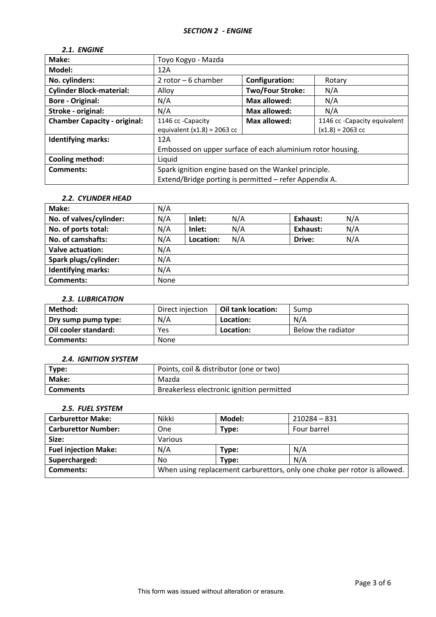# *2.1. ENGINE*

| Make:                               | Toyo Kogyo - Mazda                                                  |                         |        |  |
|-------------------------------------|---------------------------------------------------------------------|-------------------------|--------|--|
| Model:                              | 12A                                                                 |                         |        |  |
| No. cylinders:                      | 2 rotor $-6$ chamber                                                | <b>Configuration:</b>   | Rotary |  |
| <b>Cylinder Block-material:</b>     | Alloy                                                               | <b>Two/Four Stroke:</b> | N/A    |  |
| <b>Bore - Original:</b>             | N/A                                                                 | Max allowed:            | N/A    |  |
| Stroke - original:                  | N/A<br>Max allowed:<br>N/A                                          |                         |        |  |
| <b>Chamber Capacity - original:</b> | 1146 cc - Capacity equivalent<br>1146 cc - Capacity<br>Max allowed: |                         |        |  |
|                                     | equivalent $(x1.8) = 2063$ cc<br>$(x1.8) = 2063$ cc                 |                         |        |  |
| <b>Identifying marks:</b>           | 12A                                                                 |                         |        |  |
|                                     | Embossed on upper surface of each aluminium rotor housing.          |                         |        |  |
| Cooling method:                     | Liquid                                                              |                         |        |  |
| Comments:                           | Spark ignition engine based on the Wankel principle.                |                         |        |  |
|                                     | Extend/Bridge porting is permitted - refer Appendix A.              |                         |        |  |
|                                     |                                                                     |                         |        |  |

## *2.2. CYLINDER HEAD*

| Make:                     | N/A  |           |     |          |     |
|---------------------------|------|-----------|-----|----------|-----|
| No. of valves/cylinder:   | N/A  | Inlet:    | N/A | Exhaust: | N/A |
| No. of ports total:       | N/A  | Inlet:    | N/A | Exhaust: | N/A |
| No. of camshafts:         | N/A  | Location: | N/A | Drive:   | N/A |
| Valve actuation:          | N/A  |           |     |          |     |
| Spark plugs/cylinder:     | N/A  |           |     |          |     |
| <b>Identifying marks:</b> | N/A  |           |     |          |     |
| <b>Comments:</b>          | None |           |     |          |     |

## *2.3. LUBRICATION*

| Method:              | Direct injection | Oil tank location: | Sump               |
|----------------------|------------------|--------------------|--------------------|
| Dry sump pump type:  | N/A              | Location:          | N/A                |
| Oil cooler standard: | Yes              | Location:          | Below the radiator |
| Comments:            | None             |                    |                    |

#### *2.4. IGNITION SYSTEM*

| Type:           | Points, coil & distributor (one or two)   |
|-----------------|-------------------------------------------|
| <b>Make:</b>    | Mazda                                     |
| <b>Comments</b> | Breakerless electronic ignition permitted |

## *2.5. FUEL SYSTEM*

| <b>Carburettor Make:</b>    | Nikki                                                                     | Model: | $210284 - 831$ |
|-----------------------------|---------------------------------------------------------------------------|--------|----------------|
| <b>Carburettor Number:</b>  | One                                                                       | Type:  | Four barrel    |
| Size:                       | Various                                                                   |        |                |
| <b>Fuel injection Make:</b> | N/A                                                                       | Type:  | N/A            |
| Supercharged:               | No                                                                        | Type:  | N/A            |
| <b>Comments:</b>            | When using replacement carburettors, only one choke per rotor is allowed. |        |                |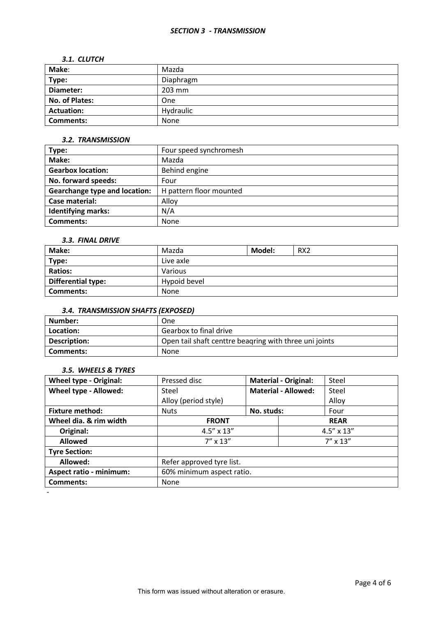#### *SECTION 3 - TRANSMISSION*

#### *3.1. CLUTCH*

| Make:             | Mazda     |
|-------------------|-----------|
| Type:             | Diaphragm |
| Diameter:         | 203 mm    |
| No. of Plates:    | One       |
| <b>Actuation:</b> | Hydraulic |
| <b>Comments:</b>  | None      |

#### *3.2. TRANSMISSION*

| Type:                                | Four speed synchromesh  |
|--------------------------------------|-------------------------|
| Make:                                | Mazda                   |
| <b>Gearbox location:</b>             | Behind engine           |
| No. forward speeds:                  | Four                    |
| <b>Gearchange type and location:</b> | H pattern floor mounted |
| Case material:                       | Alloy                   |
| <b>Identifying marks:</b>            | N/A                     |
| Comments:                            | <b>None</b>             |

## *3.3. FINAL DRIVE*

| Make:                     | Mazda        | Model: | RX <sub>2</sub> |
|---------------------------|--------------|--------|-----------------|
| Type:                     | Live axle    |        |                 |
| <b>Ratios:</b>            | Various      |        |                 |
| <b>Differential type:</b> | Hypoid bevel |        |                 |
| Comments:                 | None         |        |                 |

# *3.4. TRANSMISSION SHAFTS (EXPOSED)*

| Number:      | One                                                    |
|--------------|--------------------------------------------------------|
| Location:    | Gearbox to final drive                                 |
| Description: | Open tail shaft centtre beagring with three uni joints |
| Comments:    | <b>None</b>                                            |

## *3.5. WHEELS & TYRES*

| <b>Wheel type - Original:</b>  | Pressed disc              | <b>Material - Original:</b> |  | Steel               |
|--------------------------------|---------------------------|-----------------------------|--|---------------------|
| Wheel type - Allowed:          | Steel                     | <b>Material - Allowed:</b>  |  | Steel               |
|                                | Alloy (period style)      |                             |  | Alloy               |
| <b>Fixture method:</b>         | <b>Nuts</b>               | No. studs:                  |  | Four                |
| Wheel dia. & rim width         | <b>FRONT</b>              | <b>REAR</b>                 |  |                     |
| Original:                      | $4.5'' \times 13''$       |                             |  | $4.5'' \times 13''$ |
| <b>Allowed</b>                 | $7'' \times 13''$         |                             |  | $7'' \times 13''$   |
| <b>Tyre Section:</b>           |                           |                             |  |                     |
| Allowed:                       | Refer approved tyre list. |                             |  |                     |
| <b>Aspect ratio - minimum:</b> | 60% minimum aspect ratio. |                             |  |                     |
| <b>Comments:</b>               | None                      |                             |  |                     |
|                                |                           |                             |  |                     |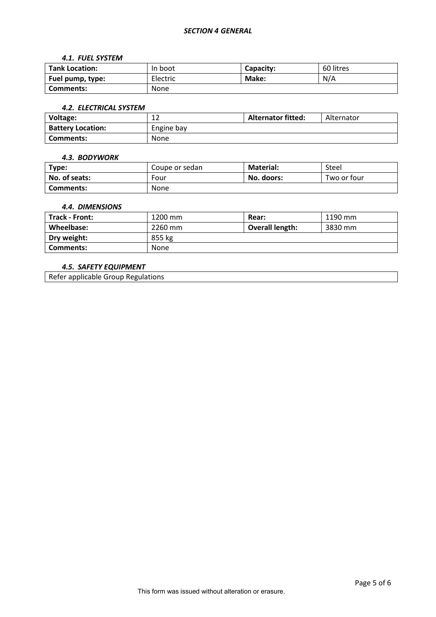#### *SECTION 4 GENERAL*

#### *4.1. FUEL SYSTEM*

| <b>Tank Location:</b> | In boot     | Capacity: | 60 litres |
|-----------------------|-------------|-----------|-----------|
| Fuel pump, type:      | Electric    | Make:     | N/A       |
| Comments:             | <b>None</b> |           |           |

#### *4.2. ELECTRICAL SYSTEM*

| Voltage:                 | ∸∸          | <b>Alternator fitted:</b> | Alternator |
|--------------------------|-------------|---------------------------|------------|
| <b>Battery Location:</b> | Engine bay  |                           |            |
| Comments:                | <b>None</b> |                           |            |

#### *4.3. BODYWORK*

| Type:         | Coupe or sedan | <b>Material:</b> | Steel       |
|---------------|----------------|------------------|-------------|
| No. of seats: | Four           | No. doors:       | Two or four |
| Comments:     | <b>None</b>    |                  |             |

### *4.4. DIMENSIONS*

| <b>Track - Front:</b> | 1200 mm | Rear:           | 1190 mm |
|-----------------------|---------|-----------------|---------|
| Wheelbase:            | 2260 mm | Overall length: | 3830 mm |
| Dry weight:           | 855 kg  |                 |         |
| Comments:             | None    |                 |         |

# *4.5. SAFETY EQUIPMENT*

Refer applicable Group Regulations